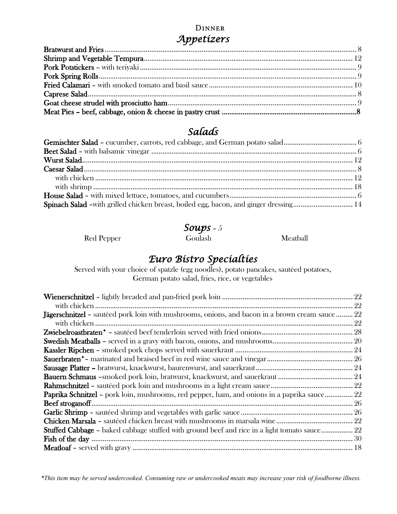#### **DINNER** *Appetizers*

#### *Salads*

| Spinach Salad -with grilled chicken breast, boiled egg, bacon, and ginger dressing 14 |  |
|---------------------------------------------------------------------------------------|--|

 *Soups* – 5

Red Pepper Goulash Meatball

# *Euro Bistro Specialties*

Served with your choice of spatzle (egg noodles), potato pancakes, sautéed potatoes, German potato salad, fries, rice, or vegetables

| <b>Jägerschnitzel -</b> sautéed pork loin with mushrooms, onions, and bacon in a brown cream sauce  22 |  |
|--------------------------------------------------------------------------------------------------------|--|
|                                                                                                        |  |
|                                                                                                        |  |
|                                                                                                        |  |
|                                                                                                        |  |
|                                                                                                        |  |
|                                                                                                        |  |
|                                                                                                        |  |
|                                                                                                        |  |
| <b>Paprika Schnitzel</b> – pork loin, mushrooms, red pepper, ham, and onions in a paprika sauce 22     |  |
|                                                                                                        |  |
|                                                                                                        |  |
|                                                                                                        |  |
| Stuffed Cabbage - baked cabbage stuffed with ground beef and rice in a light tomato sauce 22           |  |
|                                                                                                        |  |
|                                                                                                        |  |

*\*This item may be served undercooked. Consuming raw or undercooked meats may increase your risk of foodborne illness.*